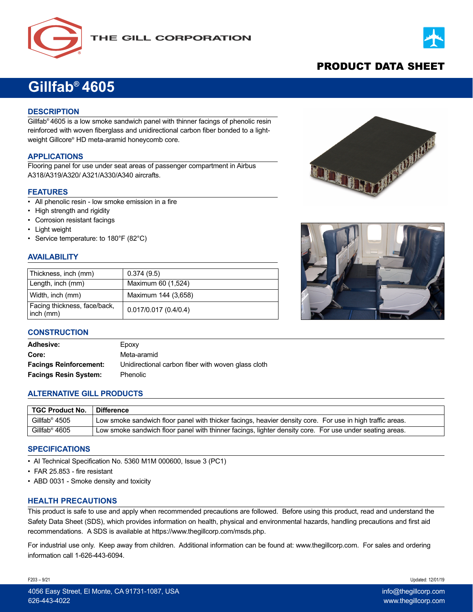



# PRODUCT DATA SHEET

# **Gillfab® 4605**

# **DESCRIPTION**

Gillfab® 4605 is a low smoke sandwich panel with thinner facings of phenolic resin reinforced with woven fiberglass and unidirectional carbon fiber bonded to a lightweight Gillcore® HD meta-aramid honeycomb core.

#### **APPLICATIONS**

Flooring panel for use under seat areas of passenger compartment in Airbus A318/A319/A320/ A321/A330/A340 aircrafts.

#### **FEATURES**

- All phenolic resin low smoke emission in a fire
- High strength and rigidity
- Corrosion resistant facings
- Light weight
- Service temperature: to 180°F (82°C)

# **AVAILABILITY**

| Thickness, inch (mm)                      | 0.374(9.5)           |
|-------------------------------------------|----------------------|
| Length, inch (mm)                         | Maximum 60 (1,524)   |
| Width, inch (mm)                          | Maximum 144 (3,658)  |
| Facing thickness, face/back,<br>inch (mm) | 0.017/0.017(0.4/0.4) |





#### **CONSTRUCTION**

| <b>Adhesive:</b>              | Epoxy                                              |
|-------------------------------|----------------------------------------------------|
| Core:                         | Meta-aramid                                        |
| <b>Facings Reinforcement:</b> | Unidirectional carbon fiber with woven glass cloth |
| <b>Facings Resin System:</b>  | Phenolic                                           |

# **ALTERNATIVE GILL PRODUCTS**

| ∣ TGC Product No. | <b>∣ Difference</b>                                                                                       |
|-------------------|-----------------------------------------------------------------------------------------------------------|
| Gillfab® 4505     | Low smoke sandwich floor panel with thicker facings, heavier density core. For use in high traffic areas. |
| Gillfab® 4605     | Low smoke sandwich floor panel with thinner facings, lighter density core. For use under seating areas.   |

#### **SPECIFICATIONS**

- AI Technical Specification No. 5360 M1M 000600, Issue 3 (PC1)
- FAR 25.853 fire resistant
- ABD 0031 Smoke density and toxicity

#### **HEALTH PRECAUTIONS**

This product is safe to use and apply when recommended precautions are followed. Before using this product, read and understand the Safety Data Sheet (SDS), which provides information on health, physical and environmental hazards, handling precautions and first aid recommendations. A SDS is available at https://www.thegillcorp.com/msds.php.

For industrial use only. Keep away from children. Additional information can be found at: www.thegillcorp.com. For sales and ordering information call 1-626-443-6094.

F203 – 9/21 Updated: 12/01/19